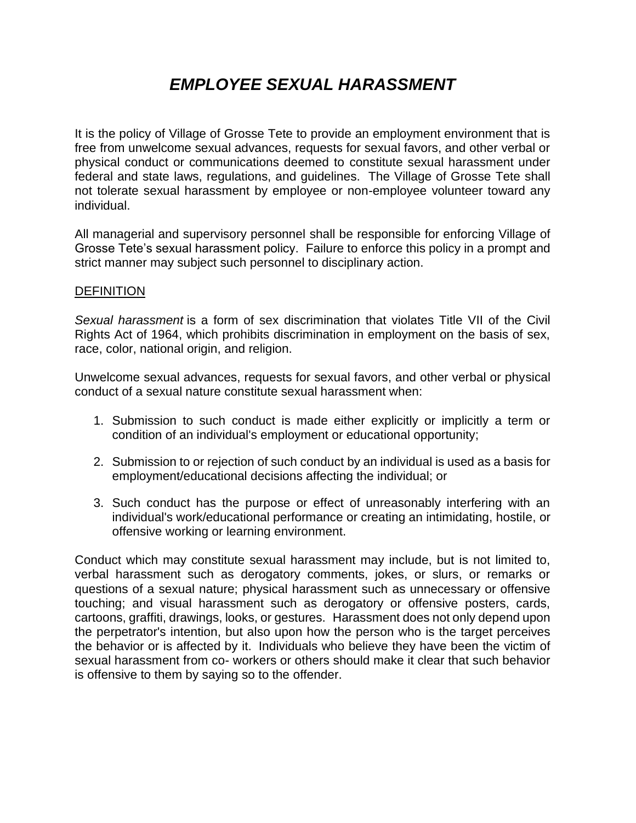# *EMPLOYEE SEXUAL HARASSMENT*

It is the policy of Village of Grosse Tete to provide an employment environment that is free from unwelcome sexual advances, requests for sexual favors, and other verbal or physical conduct or communications deemed to constitute sexual harassment under federal and state laws, regulations, and guidelines. The Village of Grosse Tete shall not tolerate sexual harassment by employee or non-employee volunteer toward any individual.

All managerial and supervisory personnel shall be responsible for enforcing Village of Grosse Tete's sexual harassment policy. Failure to enforce this policy in a prompt and strict manner may subject such personnel to disciplinary action.

## **DEFINITION**

*Sexual harassment* is a form of sex discrimination that violates Title VII of the Civil Rights Act of 1964, which prohibits discrimination in employment on the basis of sex, race, color, national origin, and religion.

Unwelcome sexual advances, requests for sexual favors, and other verbal or physical conduct of a sexual nature constitute sexual harassment when:

- 1. Submission to such conduct is made either explicitly or implicitly a term or condition of an individual's employment or educational opportunity;
- 2. Submission to or rejection of such conduct by an individual is used as a basis for employment/educational decisions affecting the individual; or
- 3. Such conduct has the purpose or effect of unreasonably interfering with an individual's work/educational performance or creating an intimidating, hostile, or offensive working or learning environment.

Conduct which may constitute sexual harassment may include, but is not limited to, verbal harassment such as derogatory comments, jokes, or slurs, or remarks or questions of a sexual nature; physical harassment such as unnecessary or offensive touching; and visual harassment such as derogatory or offensive posters, cards, cartoons, graffiti, drawings, looks, or gestures. Harassment does not only depend upon the perpetrator's intention, but also upon how the person who is the target perceives the behavior or is affected by it. Individuals who believe they have been the victim of sexual harassment from co- workers or others should make it clear that such behavior is offensive to them by saying so to the offender.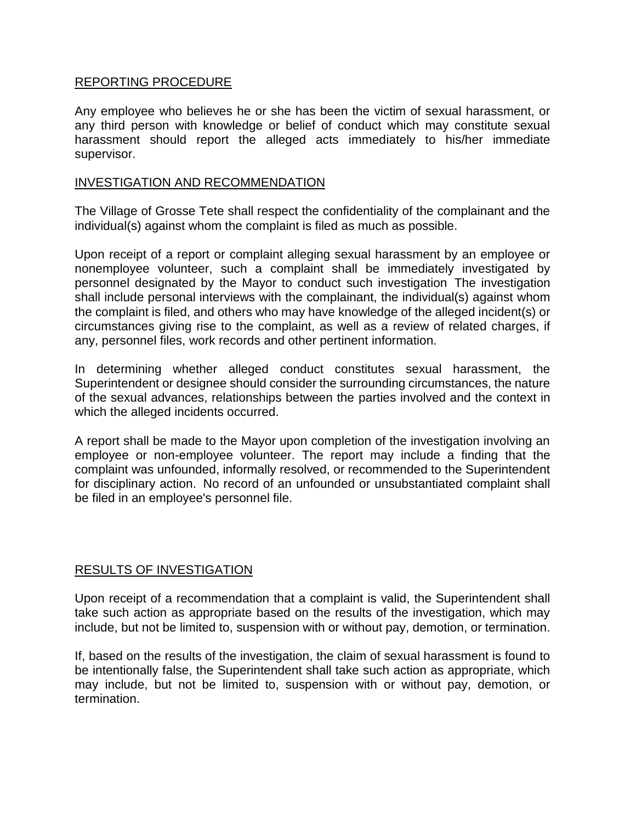# REPORTING PROCEDURE

Any employee who believes he or she has been the victim of sexual harassment, or any third person with knowledge or belief of conduct which may constitute sexual harassment should report the alleged acts immediately to his/her immediate supervisor.

## INVESTIGATION AND RECOMMENDATION

The Village of Grosse Tete shall respect the confidentiality of the complainant and the individual(s) against whom the complaint is filed as much as possible.

Upon receipt of a report or complaint alleging sexual harassment by an employee or nonemployee volunteer, such a complaint shall be immediately investigated by personnel designated by the Mayor to conduct such investigation The investigation shall include personal interviews with the complainant, the individual(s) against whom the complaint is filed, and others who may have knowledge of the alleged incident(s) or circumstances giving rise to the complaint, as well as a review of related charges, if any, personnel files, work records and other pertinent information.

In determining whether alleged conduct constitutes sexual harassment, the Superintendent or designee should consider the surrounding circumstances, the nature of the sexual advances, relationships between the parties involved and the context in which the alleged incidents occurred.

A report shall be made to the Mayor upon completion of the investigation involving an employee or non-employee volunteer. The report may include a finding that the complaint was unfounded, informally resolved, or recommended to the Superintendent for disciplinary action. No record of an unfounded or unsubstantiated complaint shall be filed in an employee's personnel file.

# RESULTS OF INVESTIGATION

Upon receipt of a recommendation that a complaint is valid, the Superintendent shall take such action as appropriate based on the results of the investigation, which may include, but not be limited to, suspension with or without pay, demotion, or termination.

If, based on the results of the investigation, the claim of sexual harassment is found to be intentionally false, the Superintendent shall take such action as appropriate, which may include, but not be limited to, suspension with or without pay, demotion, or termination.